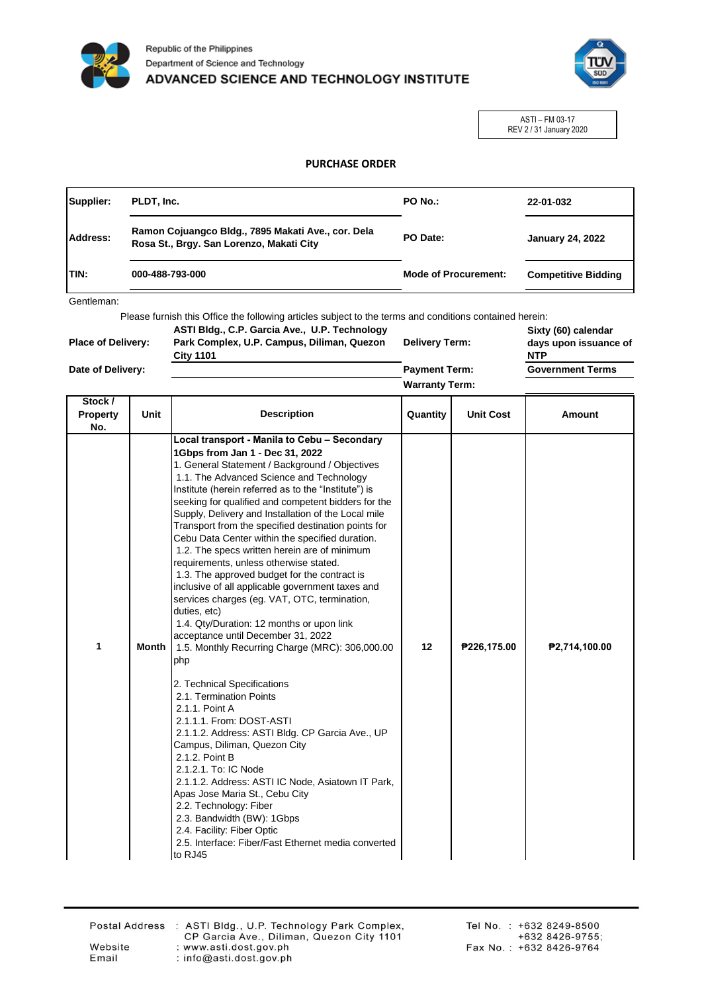



ASTI – FM 03-17 REV 2 / 31 January 2020

## **PURCHASE ORDER**

| Supplier: | PLDT, Inc.                                                                                     | PO No.:                     | 22-01-032                  |
|-----------|------------------------------------------------------------------------------------------------|-----------------------------|----------------------------|
| Address:  | Ramon Cojuangco Bldg., 7895 Makati Ave., cor. Dela<br>Rosa St., Brgy. San Lorenzo, Makati City | PO Date:                    | <b>January 24, 2022</b>    |
| ITIN:     | 000-488-793-000                                                                                | <b>Mode of Procurement:</b> | <b>Competitive Bidding</b> |

Gentleman:

Please furnish this Office the following articles subject to the terms and conditions contained herein:

| <b>Place of Delivery:</b> | ASTI Bldg., C.P. Garcia Ave., U.P. Technology<br>Park Complex, U.P. Campus, Diliman, Quezon<br><b>City 1101</b> | <b>Delivery Term:</b> | Sixty (60) calendar<br>days upon issuance of<br><b>NTP</b> |
|---------------------------|-----------------------------------------------------------------------------------------------------------------|-----------------------|------------------------------------------------------------|
| Date of Delivery:         |                                                                                                                 | <b>Payment Term:</b>  | <b>Government Terms</b>                                    |
|                           |                                                                                                                 | <b>Warranty Term:</b> |                                                            |

| Stock /<br><b>Property</b><br>No. | Unit  | <b>Description</b>                                                                                                                                                                                                                                                                                                                                                                                                                                                                                                                                                                                                                                                                                                                                                                                                                                                                                                                                                                                                                                                                                                                                                                                                                                                                                                                                           | Quantity | <b>Unit Cost</b> | Amount        |
|-----------------------------------|-------|--------------------------------------------------------------------------------------------------------------------------------------------------------------------------------------------------------------------------------------------------------------------------------------------------------------------------------------------------------------------------------------------------------------------------------------------------------------------------------------------------------------------------------------------------------------------------------------------------------------------------------------------------------------------------------------------------------------------------------------------------------------------------------------------------------------------------------------------------------------------------------------------------------------------------------------------------------------------------------------------------------------------------------------------------------------------------------------------------------------------------------------------------------------------------------------------------------------------------------------------------------------------------------------------------------------------------------------------------------------|----------|------------------|---------------|
| 1                                 | Month | Local transport - Manila to Cebu - Secondary<br>1Gbps from Jan 1 - Dec 31, 2022<br>1. General Statement / Background / Objectives<br>1.1. The Advanced Science and Technology<br>Institute (herein referred as to the "Institute") is<br>seeking for qualified and competent bidders for the<br>Supply, Delivery and Installation of the Local mile<br>Transport from the specified destination points for<br>Cebu Data Center within the specified duration.<br>1.2. The specs written herein are of minimum<br>requirements, unless otherwise stated.<br>1.3. The approved budget for the contract is<br>inclusive of all applicable government taxes and<br>services charges (eg. VAT, OTC, termination,<br>duties, etc)<br>1.4. Qty/Duration: 12 months or upon link<br>acceptance until December 31, 2022<br>1.5. Monthly Recurring Charge (MRC): 306,000.00<br>php<br>2. Technical Specifications<br>2.1. Termination Points<br>2.1.1. Point A<br>2.1.1.1. From: DOST-ASTI<br>2.1.1.2. Address: ASTI Bldg. CP Garcia Ave., UP<br>Campus, Diliman, Quezon City<br>2.1.2. Point B<br>2.1.2.1. To: IC Node<br>2.1.1.2. Address: ASTI IC Node, Asiatown IT Park,<br>Apas Jose Maria St., Cebu City<br>2.2. Technology: Fiber<br>2.3. Bandwidth (BW): 1Gbps<br>2.4. Facility: Fiber Optic<br>2.5. Interface: Fiber/Fast Ethernet media converted<br>to RJ45 | 12       | P226,175.00      | P2,714,100.00 |

Email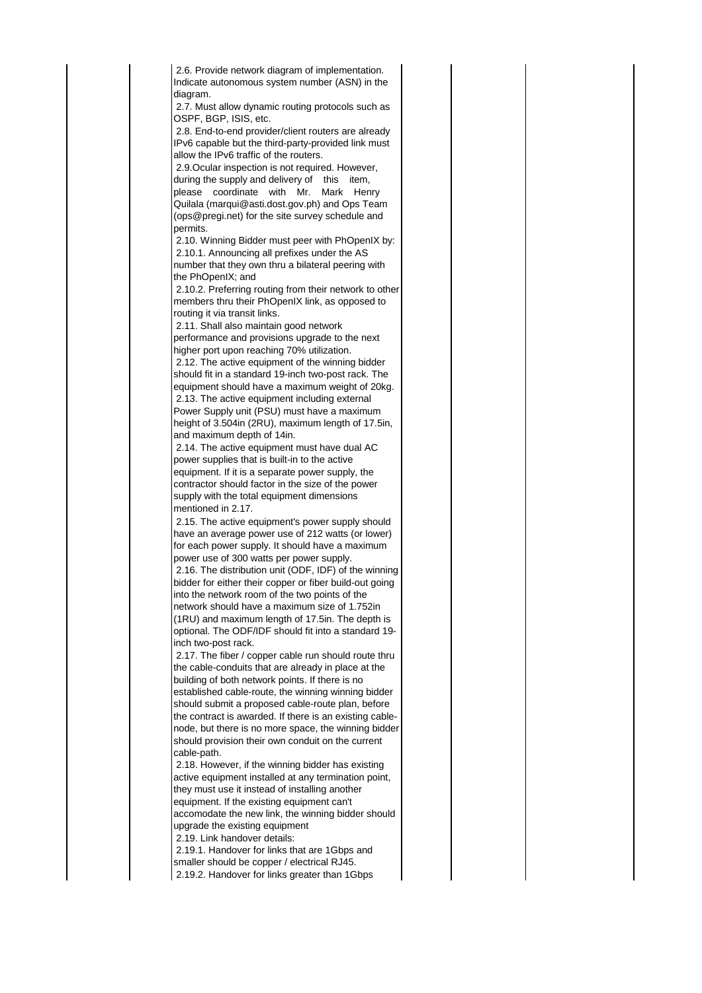2.15. The active equipment's power supply should have an average power use of 212 watts (or lower) for each power supply. It should have a maximum power use of 300 watts per power supply. 2.16. The distribution unit (ODF, IDF) of the winning bidder for either their copper or fiber build-out going into the network room of the two points of the network should have a maximum size of 1.752in (1RU) and maximum length of 17.5in. The depth is optional. The ODF/IDF should fit into a standard 19 inch two-post rack. 2.17. The fiber / copper cable run should route thru 2.6. Provide network diagram of implementation. Indicate autonomous system number (ASN) in the diagram. 2.7. Must allow dynamic routing protocols such as OSPF, BGP, ISIS, etc. 2.8. End-to-end provider/client routers are already IPv6 capable but the third-party-provided link must allow the IPv6 traffic of the routers. 2.9.Ocular inspection is not required. However, during the supply and delivery of this item, please coordinate with Mr. Mark Henry Quilala (marqui@asti.dost.gov.ph) and Ops Team (ops@pregi.net) for the site survey schedule and permits. 2.10. Winning Bidder must peer with PhOpenIX by: 2.10.1. Announcing all prefixes under the AS number that they own thru a bilateral peering with the PhOpenIX; and 2.10.2. Preferring routing from their network to other members thru their PhOpenIX link, as opposed to routing it via transit links. 2.11. Shall also maintain good network performance and provisions upgrade to the next higher port upon reaching 70% utilization. 2.12. The active equipment of the winning bidder should fit in a standard 19-inch two-post rack. The equipment should have a maximum weight of 20kg. 2.13. The active equipment including external Power Supply unit (PSU) must have a maximum height of 3.504in (2RU), maximum length of 17.5in, and maximum depth of 14in. 2.14. The active equipment must have dual AC power supplies that is built-in to the active equipment. If it is a separate power supply, the contractor should factor in the size of the power supply with the total equipment dimensions mentioned in 2.17.

the cable-conduits that are already in place at the building of both network points. If there is no established cable-route, the winning winning bidder should submit a proposed cable-route plan, before the contract is awarded. If there is an existing cablenode, but there is no more space, the winning bidder should provision their own conduit on the current cable-path.

 2.18. However, if the winning bidder has existing active equipment installed at any termination point, they must use it instead of installing another equipment. If the existing equipment can't accomodate the new link, the winning bidder should upgrade the existing equipment

2.19. Link handover details:

 2.19.1. Handover for links that are 1Gbps and smaller should be copper / electrical RJ45. 2.19.2. Handover for links greater than 1Gbps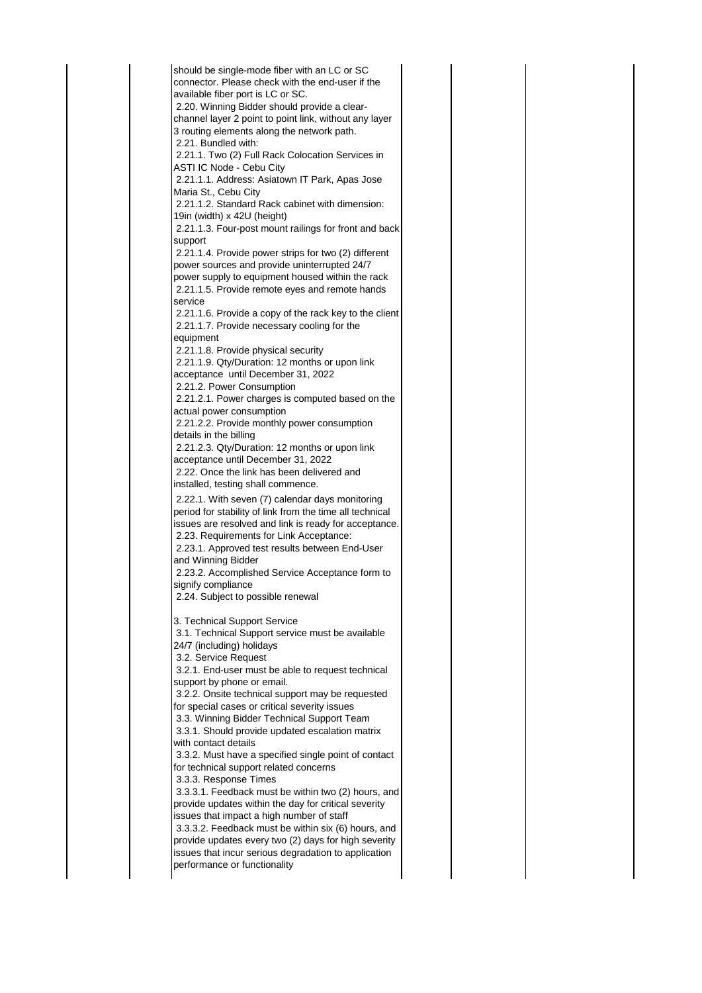should be single-mode fiber with an LC or SC connector. Please check with the end-user if the available fiber port is LC or SC. 2.20. Winning Bidder should provide a clearchannel layer 2 point to point link, without any layer 3 routing elements along the network path. 2.21. Bundled with: 2.21.1. Two (2) Full Rack Colocation Services in ASTI IC Node - Cebu City 2.21.1.1. Address: Asiatown IT Park, Apas Jose Maria St., Cebu City 2.21.1.2. Standard Rack cabinet with dimension: 19in (width) x 42U (height) 2.21.1.3. Four-post mount railings for front and back support 2.21.1.4. Provide power strips for two (2) different power sources and provide uninterrupted 24/7 power supply to equipment housed within the rack 2.21.1.5. Provide remote eyes and remote hands service 2.21.1.6. Provide a copy of the rack key to the client 2.21.1.7. Provide necessary cooling for the equipment 2.21.1.8. Provide physical security 2.21.1.9. Qty/Duration: 12 months or upon link acceptance until December 31, 2022 2.21.2. Power Consumption 2.21.2.1. Power charges is computed based on the actual power consumption 2.21.2.2. Provide monthly power consumption details in the billing 2.21.2.3. Qty/Duration: 12 months or upon link acceptance until December 31, 2022 2.22. Once the link has been delivered and installed, testing shall commence. 2.22.1. With seven (7) calendar days monitoring period for stability of link from the time all technical issues are resolved and link is ready for acceptance. 2.23. Requirements for Link Acceptance: 2.23.1. Approved test results between End-User and Winning Bidder 2.23.2. Accomplished Service Acceptance form to signify compliance 2.24. Subject to possible renewal 3. Technical Support Service 3.1. Technical Support service must be available 24/7 (including) holidays 3.2. Service Request 3.2.1. End-user must be able to request technical support by phone or email. 3.2.2. Onsite technical support may be requested for special cases or critical severity issues 3.3. Winning Bidder Technical Support Team 3.3.1. Should provide updated escalation matrix with contact details 3.3.2. Must have a specified single point of contact for technical support related concerns 3.3.3. Response Times 3.3.3.1. Feedback must be within two (2) hours, and provide updates within the day for critical severity issues that impact a high number of staff 3.3.3.2. Feedback must be within six (6) hours, and provide updates every two (2) days for high severity issues that incur serious degradation to application performance or functionality